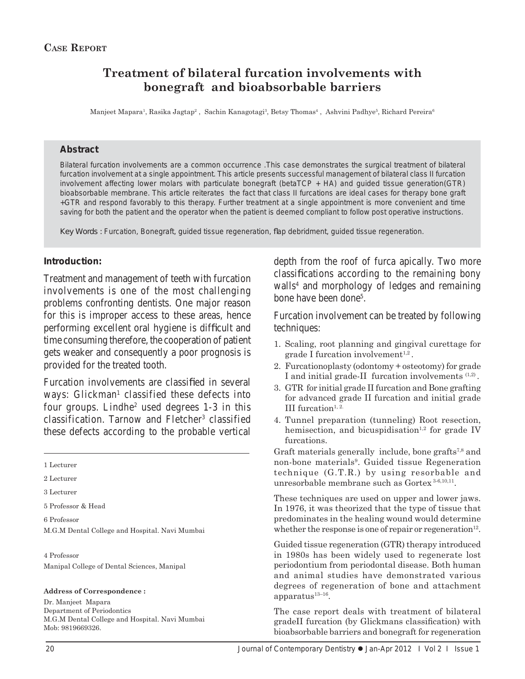# **Treatment of bilateral furcation involvements with bonegraft and bioabsorbable barriers**

Manjeet Mapara<sup>1</sup>, Rasika Jagtap<sup>2</sup> , Sachin Kanagotagi<sup>3</sup>, Betsy Thomas<sup>4</sup> , Ashvini Padhye<sup>5</sup>, Richard Pereira<sup>6</sup>

### **Abstract**

Bilateral furcation involvements are a common occurrence .This case demonstrates the surgical treatment of bilateral furcation involvement at a single appointment. This article presents successful management of bilateral class II furcation involvement affecting lower molars with particulate bonegraft (betaTCP + HA) and guided tissue generation(GTR) bioabsorbable membrane. This article reiterates the fact that class II furcations are ideal cases for therapy bone graft +GTR and respond favorably to this therapy. Further treatment at a single appointment is more convenient and time saving for both the patient and the operator when the patient is deemed compliant to follow post operative instructions.

Key Words : Furcation, Bonegraft, guided tissue regeneration, flap debridment, guided tissue regeneration.

### **Introduction:**

Treatment and management of teeth with furcation involvements is one of the most challenging problems confronting dentists. One major reason for this is improper access to these areas, hence performing excellent oral hygiene is difficult and time consuming therefore, the cooperation of patient gets weaker and consequently a poor prognosis is provided for the treated tooth.

Furcation involvements are classified in several ways: Glickman<sup>1</sup> classified these defects into four groups. Lindhe<sup>2</sup> used degrees 1-3 in this classification. Tarnow and Fletcher<sup>3</sup> classified these defects according to the probable vertical

1 Lecturer

2 Lecturer

3 Lecturer

5 Professor & Head

6 Professor M.G.M Dental College and Hospital. Navi Mumbai

4 Professor Manipal College of Dental Sciences, Manipal

#### **Address of Correspondence :**

Dr. Manjeet Mapara Department of Periodontics M.G.M Dental College and Hospital. Navi Mumbai Mob: 9819669326.

depth from the roof of furca apically. Two more classifications according to the remaining bony walls<sup>4</sup> and morphology of ledges and remaining bone have been done<sup>5</sup>.

Furcation involvement can be treated by following techniques:

- 1. Scaling, root planning and gingival curettage for  $grade I$  furcation involvement<sup>1,2</sup>.
- 2. Furcationoplasty (odontomy + osteotomy) for grade I and initial grade-II furcation involvements  $(1,2)$ .
- 3. GTR for initial grade II furcation and Bone grafting for advanced grade II furcation and initial grade III furcation<sup>1, 2.</sup>
- 4. Tunnel preparation (tunneling) Root resection, hemisection, and bicuspidisation<sup>1,2</sup> for grade IV furcations.
- Graft materials generally include, bone grafts<sup> $7,8$ </sup> and non-bone materials<sup>9</sup>. Guided tissue Regeneration technique (G.T.R.) by using resorbable and unresorbable membrane such as Gortex 3-6,10,11.

These techniques are used on upper and lower jaws. In 1976, it was theorized that the type of tissue that predominates in the healing wound would determine whether the response is one of repair or regeneration<sup>12</sup>.

Guided tissue regeneration (GTR) therapy introduced in 1980s has been widely used to regenerate lost periodontium from periodontal disease. Both human and animal studies have demonstrated various degrees of regeneration of bone and attachment apparatus $13-16$ .

The case report deals with treatment of bilateral gradeII furcation (by Glickmans classification) with bioabsorbable barriers and bonegraft for regeneration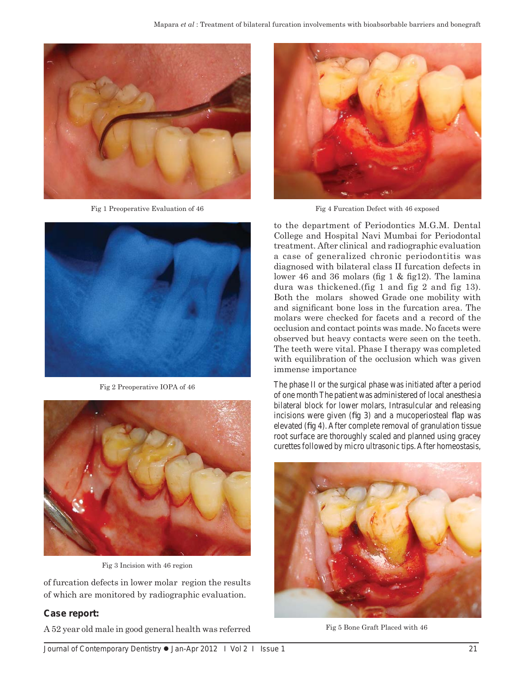

Fig 1 Preoperative Evaluation of 46



Fig 2 Preoperative IOPA of 46



Fig 3 Incision with 46 region

of furcation defects in lower molar region the results of which are monitored by radiographic evaluation.

## **Case report:**

A 52 year old male in good general health was referred



Fig 4 Furcation Defect with 46 exposed

to the department of Periodontics M.G.M. Dental College and Hospital Navi Mumbai for Periodontal treatment. After clinical and radiographic evaluation a case of generalized chronic periodontitis was diagnosed with bilateral class II furcation defects in lower 46 and 36 molars (fig  $1 \&$  fig12). The lamina dura was thickened.(fig 1 and fig 2 and fig 13). Both the molars showed Grade one mobility with and significant bone loss in the furcation area. The molars were checked for facets and a record of the occlusion and contact points was made. No facets were observed but heavy contacts were seen on the teeth. The teeth were vital. Phase I therapy was completed with equilibration of the occlusion which was given immense importance

The phase II or the surgical phase was initiated after a period of one month The patient was administered of local anesthesia bilateral block for lower molars, Intrasulcular and releasing incisions were given (fig  $3$ ) and a mucoperiosteal flap was elevated (fig 4). After complete removal of granulation tissue root surface are thoroughly scaled and planned using gracey curettes followed by micro ultrasonic tips. After homeostasis,



Fig 5 Bone Graft Placed with 46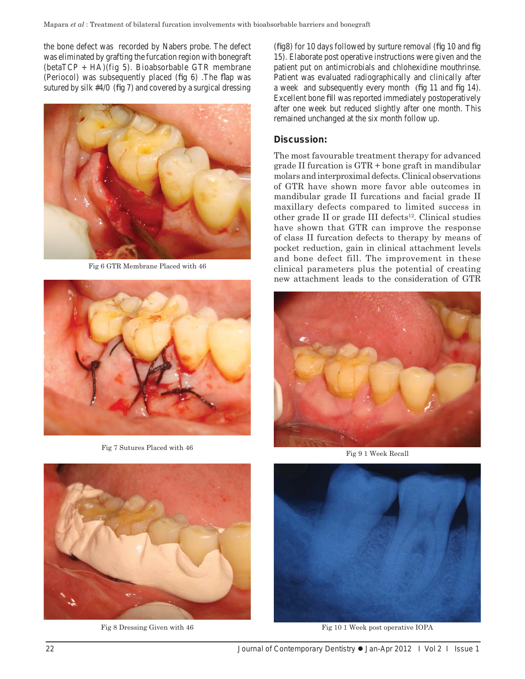the bone defect was recorded by Nabers probe. The defect was eliminated by grafting the furcation region with bonegraft  $(betaTCP + HA)(fig 5)$ . Bioabsorbable GTR membrane (Periocol) was subsequently placed (fig  $6$ ). The flap was sutured by silk  $#4/0$  (fig 7) and covered by a surgical dressing



Fig 6 GTR Membrane Placed with 46



Fig 7 Sutures Placed with 46

(fig8) for 10 days followed by surture removal (fig  $10$  and fig 15). Elaborate post operative instructions were given and the patient put on antimicrobials and chlohexidine mouthrinse. Patient was evaluated radiographically and clinically after a week and subsequently every month (fig 11 and fig 14). Excellent bone fill was reported immediately postoperatively after one week but reduced slightly after one month. This remained unchanged at the six month follow up.

### **Discussion:**

The most favourable treatment therapy for advanced grade II furcation is GTR + bone graft in mandibular molars and interproximal defects. Clinical observations of GTR have shown more favor able outcomes in mandibular grade II furcations and facial grade II maxillary defects compared to limited success in other grade II or grade III defects $12$ . Clinical studies have shown that GTR can improve the response of class II furcation defects to therapy by means of pocket reduction, gain in clinical attachment levels and bone defect fill. The improvement in these clinical parameters plus the potential of creating new attachment leads to the consideration of GTR



Fig 9 1 Week Recall



Fig 10 1 Week post operative IOPA



Fig 8 Dressing Given with 46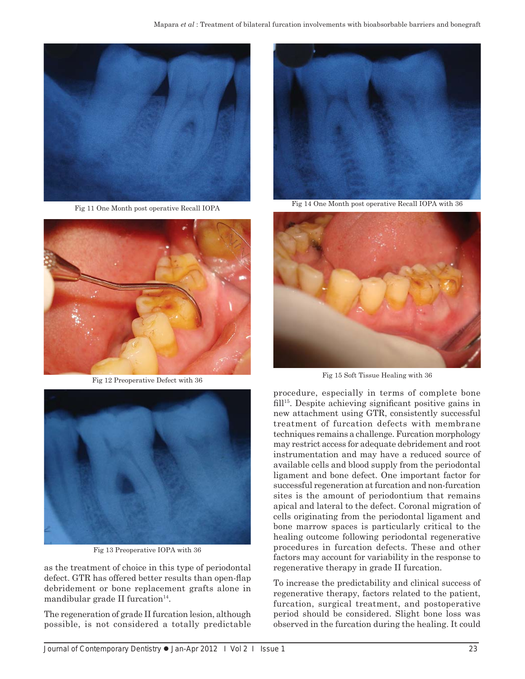

Fig 11 One Month post operative Recall IOPA



Fig 12 Preoperative Defect with 36



Fig 13 Preoperative IOPA with 36

as the treatment of choice in this type of periodontal defect. GTR has offered better results than open-flap debridement or bone replacement grafts alone in mandibular grade II furcation $14$ .

The regeneration of grade II furcation lesion, although possible, is not considered a totally predictable



Fig 14 One Month post operative Recall IOPA with 36



Fig 15 Soft Tissue Healing with 36

procedure, especially in terms of complete bone  $fill<sup>15</sup>$ . Despite achieving significant positive gains in new attachment using GTR, consistently successful treatment of furcation defects with membrane techniques remains a challenge. Furcation morphology may restrict access for adequate debridement and root instrumentation and may have a reduced source of available cells and blood supply from the periodontal ligament and bone defect. One important factor for successful regeneration at furcation and non-furcation sites is the amount of periodontium that remains apical and lateral to the defect. Coronal migration of cells originating from the periodontal ligament and bone marrow spaces is particularly critical to the healing outcome following periodontal regenerative procedures in furcation defects. These and other factors may account for variability in the response to regenerative therapy in grade II furcation.

To increase the predictability and clinical success of regenerative therapy, factors related to the patient, furcation, surgical treatment, and postoperative period should be considered. Slight bone loss was observed in the furcation during the healing. It could